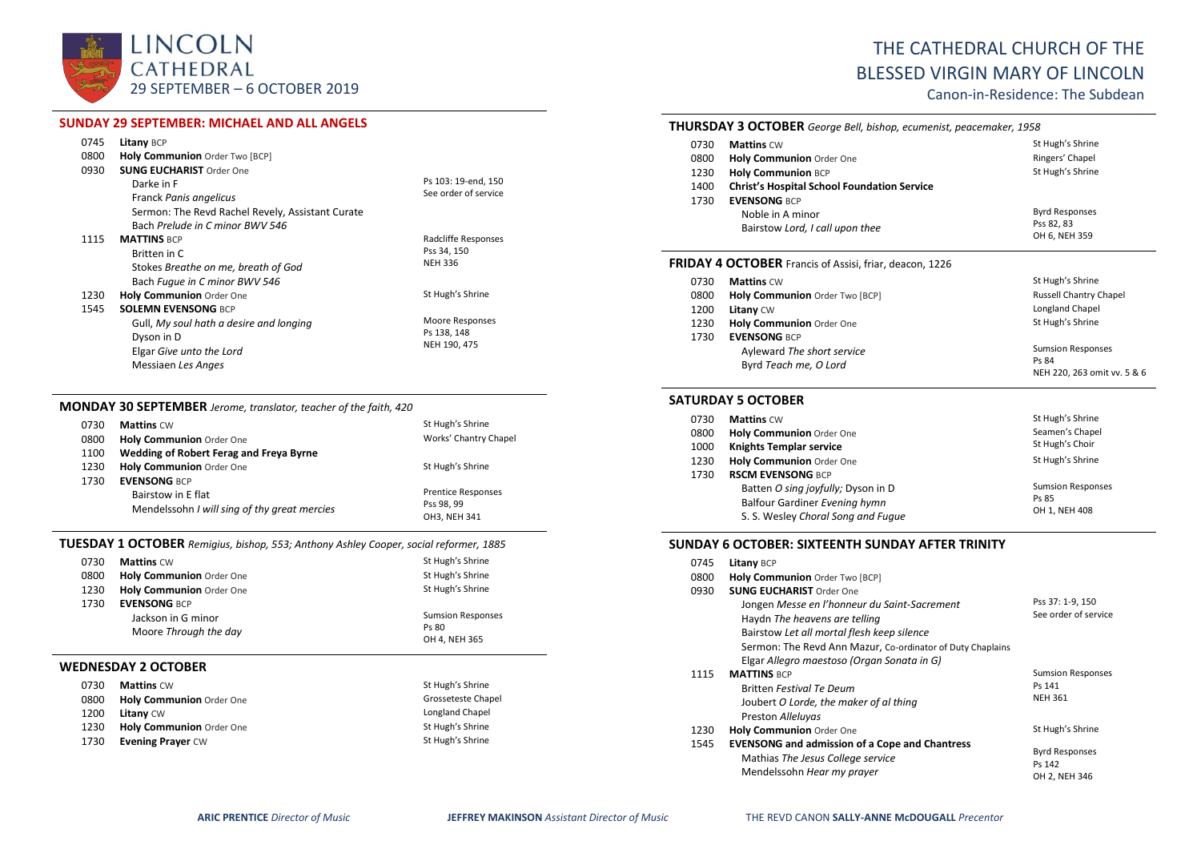

# **SUNDAY 29 SEPTEMBER: MICHAEL AND ALL ANGELS**

| 0745 | <b>Litany BCP</b>                                |                      |
|------|--------------------------------------------------|----------------------|
| 0800 | Holy Communion Order Two [BCP]                   |                      |
| 0930 | <b>SUNG EUCHARIST Order One</b>                  |                      |
|      | Darke in F                                       | Ps 103: 19-end, 150  |
|      | Franck Panis angelicus                           | See order of service |
|      | Sermon: The Revd Rachel Revely, Assistant Curate |                      |
|      | Bach Prelude in C minor BWV 546                  |                      |
| 1115 | <b>MATTINS BCP</b>                               | Radcliffe Responses  |
|      | Britten in C                                     | Pss 34, 150          |
|      | Stokes Breathe on me, breath of God              | <b>NEH 336</b>       |
|      | Bach Fugue in C minor BWV 546                    |                      |
| 1230 | <b>Holy Communion Order One</b>                  | St Hugh's Shrine     |
| 1545 | <b>SOLEMN EVENSONG BCP</b>                       |                      |
|      | Gull, My soul hath a desire and longing          | Moore Responses      |
|      | Dyson in D                                       | Ps 138, 148          |
|      | Elgar Give unto the Lord                         | NEH 190, 475         |
|      | Messiaen Les Anges                               |                      |

# **MONDAY 30 SEPTEMBER** *Jerome, translator, teacher of the faith, 420*

| 0730 | <b>Mattins CW</b>                            | St Hugh's Shrine          |
|------|----------------------------------------------|---------------------------|
| 0800 | Holy Communion Order One                     | Works' Chantry Chapel     |
| 1100 | Wedding of Robert Ferag and Freya Byrne      |                           |
| 1230 | <b>Holy Communion Order One</b>              | St Hugh's Shrine          |
| 1730 | <b>EVENSONG BCP</b>                          |                           |
|      | Bairstow in E flat                           | <b>Prentice Responses</b> |
|      | Mendelssohn I will sing of thy great mercies | Pss 98, 99                |
|      |                                              | OH3, NEH 341              |

# **TUESDAY 1 OCTOBER** *Remigius, bishop, 553; Anthony Ashley Cooper, social reformer, 1885*

| 0730 | <b>Mattins CW</b>               | St Hugh's Shrine         |
|------|---------------------------------|--------------------------|
| 0800 | <b>Holy Communion Order One</b> | St Hugh's Shrine         |
| 1230 | Holy Communion Order One        | St Hugh's Shrine         |
| 1730 | <b>EVENSONG BCP</b>             |                          |
|      | Jackson in G minor              | <b>Sumsion Responses</b> |
|      | Moore Through the day           | Ps 80                    |
|      |                                 | OH 4, NEH 365            |

## **WEDNESDAY 2 OCTOBER**

| 0730 | <b>Mattins CW</b>        | St Hugh's Shrine   |
|------|--------------------------|--------------------|
| 0800 | Holy Communion Order One | Grosseteste Chapel |
| 1200 | <b>Litany CW</b>         | Longland Chapel    |
| 1230 | Holy Communion Order One | St Hugh's Shrine   |
| 1730 | <b>Evening Prayer CW</b> | St Hugh's Shrine   |

# THE CATHEDRAL CHURCH OF THE BLESSED VIRGIN MARY OF LINCOLN

Canon-in-Residence: The Subdean

#### **THURSDAY 3 OCTOBER** *George Bell, bishop, ecumenist, peacemaker, 1958*

| 0730 | <b>Mattins CW</b>                                              | St Hugh's Shrine              |
|------|----------------------------------------------------------------|-------------------------------|
| 0800 | <b>Holy Communion Order One</b>                                | Ringers' Chapel               |
| 1230 | <b>Holy Communion BCP</b>                                      | St Hugh's Shrine              |
| 1400 | <b>Christ's Hospital School Foundation Service</b>             |                               |
| 1730 | <b>EVENSONG BCP</b>                                            |                               |
|      | Noble in A minor                                               | <b>Byrd Responses</b>         |
|      | Bairstow Lord, I call upon thee                                | Pss 82, 83                    |
|      |                                                                | OH 6, NEH 359                 |
|      | <b>FRIDAY 4 OCTOBER</b> Francis of Assisi, friar, deacon, 1226 |                               |
| 0730 | <b>Mattins CW</b>                                              | St Hugh's Shrine              |
| 0800 | Holy Communion Order Two [BCP]                                 | <b>Russell Chantry Chapel</b> |
| 1200 | <b>Litany CW</b>                                               | Longland Chapel               |
|      |                                                                |                               |

| 1230 | <b>Holy Communion</b> Order One | St Hugh's Shrine            |
|------|---------------------------------|-----------------------------|
| 1730 | <b>EVENSONG BCP</b>             |                             |
|      | Ayleward The short service      | <b>Sumsion Responses</b>    |
|      | Byrd Teach me, O Lord           | Ps 84                       |
|      |                                 | NEH 220, 263 omit vv. 5 & 6 |

#### **SATURDAY 5 OCTOBER**

| 0730 | <b>Mattins CW</b>                  | St Hugh's Shrine         |
|------|------------------------------------|--------------------------|
| 0800 | Holy Communion Order One           | Seamen's Chapel          |
| 1000 | <b>Knights Templar service</b>     | St Hugh's Choir          |
| 1230 | Holy Communion Order One           | St Hugh's Shrine         |
| 1730 | <b>RSCM EVENSONG BCP</b>           |                          |
|      | Batten O sing joyfully; Dyson in D | <b>Sumsion Responses</b> |
|      | Balfour Gardiner Evening hymn      | Ps 85                    |
|      | S. S. Wesley Choral Song and Fugue | OH 1, NEH 408            |

#### **SUNDAY 6 OCTOBER: SIXTEENTH SUNDAY AFTER TRINITY**

| 0745 | <b>Litany BCP</b>                                          |                          |
|------|------------------------------------------------------------|--------------------------|
| 0800 | Holy Communion Order Two [BCP]                             |                          |
| 0930 | <b>SUNG FUCHARIST Order One</b>                            |                          |
|      | Jongen Messe en l'honneur du Saint-Sacrement               | Pss 37: 1-9, 150         |
|      | Haydn The heavens are telling                              | See order of service     |
|      | Bairstow Let all mortal flesh keep silence                 |                          |
|      | Sermon: The Revd Ann Mazur, Co-ordinator of Duty Chaplains |                          |
|      | Elgar Allegro maestoso (Organ Sonata in G)                 |                          |
| 1115 | <b>MATTINS BCP</b>                                         | <b>Sumsion Responses</b> |
|      | <b>Britten Festival Te Deum</b>                            | Ps 141                   |
|      | Joubert O Lorde, the maker of al thing                     | <b>NEH 361</b>           |
|      | Preston Alleluyas                                          |                          |
| 1230 | Holy Communion Order One                                   | St Hugh's Shrine         |
| 1545 | <b>EVENSONG and admission of a Cope and Chantress</b>      |                          |
|      | Mathias The Jesus College service                          | <b>Byrd Responses</b>    |
|      | Mendelssohn Hear my prayer                                 | Ps 142                   |
|      |                                                            | OH 2, NEH 346            |